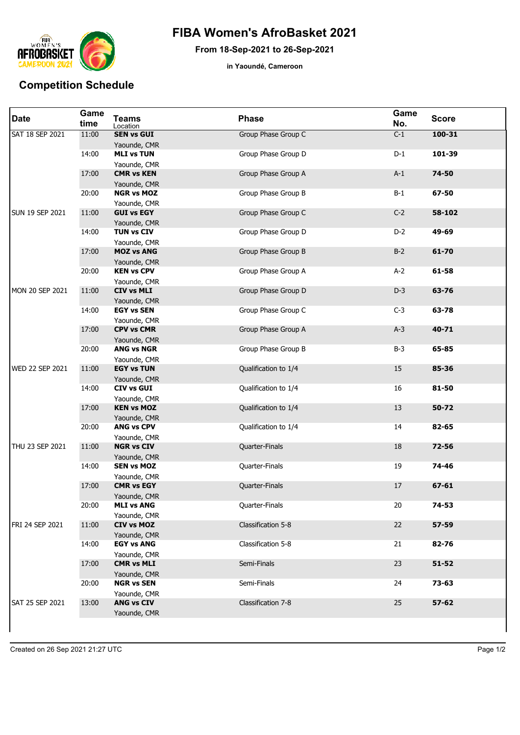

## **FIBA Women's AfroBasket 2021**

**From 18-Sep-2021 to 26-Sep-2021**

**in Yaoundé, Cameroon**

## **Competition Schedule**

| <b>Date</b>            | Game<br>time | <b>Teams</b><br>Location          | <b>Phase</b>         | Game<br>No. | <b>Score</b> |
|------------------------|--------------|-----------------------------------|----------------------|-------------|--------------|
| <b>SAT 18 SEP 2021</b> | 11:00        | <b>SEN vs GUI</b><br>Yaounde, CMR | Group Phase Group C  | $C-1$       | $100 - 31$   |
|                        | 14:00        | <b>MLI vs TUN</b><br>Yaounde, CMR | Group Phase Group D  | $D-1$       | 101-39       |
|                        | 17:00        | <b>CMR vs KEN</b><br>Yaounde, CMR | Group Phase Group A  | $A-1$       | 74-50        |
|                        | 20:00        | <b>NGR vs MOZ</b><br>Yaounde, CMR | Group Phase Group B  | $B-1$       | 67-50        |
| <b>SUN 19 SEP 2021</b> | 11:00        | <b>GUI vs EGY</b><br>Yaounde, CMR | Group Phase Group C  | $C-2$       | 58-102       |
|                        | 14:00        | <b>TUN vs CIV</b><br>Yaounde, CMR | Group Phase Group D  | $D-2$       | 49-69        |
|                        | 17:00        | <b>MOZ vs ANG</b><br>Yaounde, CMR | Group Phase Group B  | $B-2$       | 61-70        |
|                        | 20:00        | <b>KEN vs CPV</b><br>Yaounde, CMR | Group Phase Group A  | $A-2$       | 61-58        |
| MON 20 SEP 2021        | 11:00        | <b>CIV vs MLI</b><br>Yaounde, CMR | Group Phase Group D  | $D-3$       | 63-76        |
|                        | 14:00        | <b>EGY vs SEN</b><br>Yaounde, CMR | Group Phase Group C  | $C-3$       | 63-78        |
|                        | 17:00        | <b>CPV vs CMR</b><br>Yaounde, CMR | Group Phase Group A  | $A-3$       | 40-71        |
|                        | 20:00        | <b>ANG vs NGR</b><br>Yaounde, CMR | Group Phase Group B  | $B-3$       | 65-85        |
| WED 22 SEP 2021        | 11:00        | <b>EGY vs TUN</b><br>Yaounde, CMR | Qualification to 1/4 | 15          | 85-36        |
|                        | 14:00        | <b>CIV vs GUI</b><br>Yaounde, CMR | Qualification to 1/4 | 16          | 81-50        |
|                        | 17:00        | <b>KEN vs MOZ</b><br>Yaounde, CMR | Qualification to 1/4 | 13          | $50 - 72$    |
|                        | 20:00        | <b>ANG vs CPV</b><br>Yaounde, CMR | Qualification to 1/4 | 14          | 82-65        |
| THU 23 SEP 2021        | 11:00        | <b>NGR vs CIV</b><br>Yaounde, CMR | Quarter-Finals       | 18          | 72-56        |
|                        | 14:00        | <b>SEN vs MOZ</b><br>Yaounde, CMR | Quarter-Finals       | 19          | 74-46        |
|                        | 17:00        | <b>CMR vs EGY</b><br>Yaounde, CMR | Quarter-Finals       | 17          | $67 - 61$    |
|                        | 20:00        | <b>MLI vs ANG</b><br>Yaounde, CMR | Quarter-Finals       | 20          | 74-53        |
| FRI 24 SEP 2021        | 11:00        | <b>CIV vs MOZ</b><br>Yaounde, CMR | Classification 5-8   | 22          | 57-59        |
|                        | 14:00        | <b>EGY vs ANG</b><br>Yaounde, CMR | Classification 5-8   | 21          | 82-76        |
|                        | 17:00        | <b>CMR vs MLI</b><br>Yaounde, CMR | Semi-Finals          | 23          | $51 - 52$    |
|                        | 20:00        | <b>NGR vs SEN</b><br>Yaounde, CMR | Semi-Finals          | 24          | 73-63        |
| SAT 25 SEP 2021        | 13:00        | <b>ANG vs CIV</b><br>Yaounde, CMR | Classification 7-8   | 25          | $57 - 62$    |
|                        |              |                                   |                      |             |              |